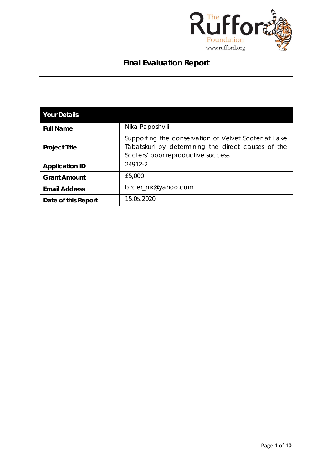

# **Final Evaluation Report**

| <b>Your Details</b>   |                                                                                                                                                   |
|-----------------------|---------------------------------------------------------------------------------------------------------------------------------------------------|
| <b>Full Name</b>      | Nika Paposhvili                                                                                                                                   |
| <b>Project Title</b>  | Supporting the conservation of Velvet Scoter at Lake<br>Tabatskuri by determining the direct causes of the<br>Scoters' poor reproductive success. |
| <b>Application ID</b> | 24912-2                                                                                                                                           |
| <b>Grant Amount</b>   | £5,000                                                                                                                                            |
| <b>Email Address</b>  | birder_nik@yahoo.com                                                                                                                              |
| Date of this Report   | 15.05.2020                                                                                                                                        |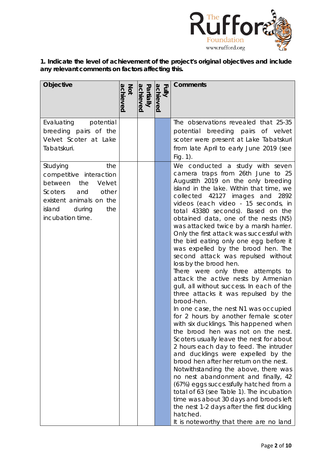

**1. Indicate the level of achievement of the project's original objectives and include any relevant comments on factors affecting this.** 

| Objective                                                                                                                                                                | achieved<br>Not | Partially<br>achieved | Fully<br>achieved | <b>Comments</b>                                                                                                                                                                                                                                                                                                                                                                                                                                                                                                                                                                                                                                                                                                                                                                                                                                                                                                                                                                                                                                                                                                                                                                                                                                                                                                                                                                                   |
|--------------------------------------------------------------------------------------------------------------------------------------------------------------------------|-----------------|-----------------------|-------------------|---------------------------------------------------------------------------------------------------------------------------------------------------------------------------------------------------------------------------------------------------------------------------------------------------------------------------------------------------------------------------------------------------------------------------------------------------------------------------------------------------------------------------------------------------------------------------------------------------------------------------------------------------------------------------------------------------------------------------------------------------------------------------------------------------------------------------------------------------------------------------------------------------------------------------------------------------------------------------------------------------------------------------------------------------------------------------------------------------------------------------------------------------------------------------------------------------------------------------------------------------------------------------------------------------------------------------------------------------------------------------------------------------|
| Evaluating potential<br>breeding pairs of the                                                                                                                            |                 |                       |                   | The observations revealed that 25-35<br>potential breeding pairs of velvet                                                                                                                                                                                                                                                                                                                                                                                                                                                                                                                                                                                                                                                                                                                                                                                                                                                                                                                                                                                                                                                                                                                                                                                                                                                                                                                        |
| Velvet Scoter at Lake<br>Tabatskuri.                                                                                                                                     |                 |                       |                   | scoter were present at Lake Tabatskuri<br>from late April to early June 2019 (see<br>Fig. $1$ ).                                                                                                                                                                                                                                                                                                                                                                                                                                                                                                                                                                                                                                                                                                                                                                                                                                                                                                                                                                                                                                                                                                                                                                                                                                                                                                  |
| the<br>Studying<br>competitive interaction<br>Velvet<br>between<br>the<br>and<br>other<br>Scoters<br>existent animals on the<br>island during<br>the<br>incubation time. |                 |                       |                   | We conducted a study with seven<br>camera traps from 26th June to 25<br>Augustth 2019 on the only breeding<br>island in the lake. Within that time, we<br>collected 42127 images and 2892<br>videos (each video - 15 seconds, in<br>total 43380 seconds). Based on the<br>obtained data, one of the nests (N5)<br>was attacked twice by a marsh harrier.<br>Only the first attack was successful with<br>the bird eating only one egg before it<br>was expelled by the brood hen. The<br>second attack was repulsed without<br>loss by the brood hen.<br>There were only three attempts to<br>attack the active nests by Armenian<br>gull, all without success. In each of the<br>three attacks it was repulsed by the<br>brood-hen.<br>In one case, the nest N1 was occupied<br>for 2 hours by another female scoter<br>with six ducklings. This happened when<br>the brood hen was not on the nest.<br>Scoters usually leave the nest for about<br>2 hours each day to feed. The intruder<br>and ducklings were expelled by the<br>brood hen after her return on the nest.<br>Notwithstanding the above, there was<br>no nest abandonment and finally, 42<br>(67%) eggs successfully hatched from a<br>total of 63 (see Table 1). The incubation<br>time was about 30 days and broods left<br>the nest 1-2 days after the first duckling<br>hatched.<br>It is noteworthy that there are no land |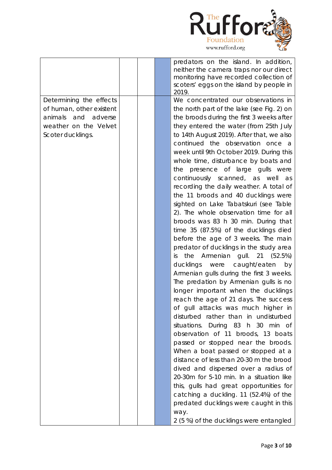

|                          |  | predators on the island. In addition,      |
|--------------------------|--|--------------------------------------------|
|                          |  | neither the camera traps nor our direct    |
|                          |  | monitoring have recorded collection of     |
|                          |  | scoters' eggs on the island by people in   |
|                          |  | 2019.                                      |
| Determining the effects  |  | We concentrated our observations in        |
| of human, other existent |  | the north part of the lake (see Fig. 2) on |
| animals and adverse      |  | the broods during the first 3 weeks after  |
| weather on the Velvet    |  | they entered the water (from 25th July     |
| Scoter ducklings.        |  | to 14th August 2019). After that, we also  |
|                          |  | continued the observation once a           |
|                          |  | week until 9th October 2019. During this   |
|                          |  | whole time, disturbance by boats and       |
|                          |  | the presence of large gulls were           |
|                          |  | continuously scanned, as well<br>as        |
|                          |  | recording the daily weather. A total of    |
|                          |  | the 11 broods and 40 ducklings were        |
|                          |  | sighted on Lake Tabatskuri (see Table      |
|                          |  | 2). The whole observation time for all     |
|                          |  | broods was 83 h 30 min. During that        |
|                          |  | time 35 (87.5%) of the ducklings died      |
|                          |  | before the age of 3 weeks. The main        |
|                          |  | predator of ducklings in the study area    |
|                          |  | the Armenian gull. $21$ (52.5%)<br>is      |
|                          |  | ducklings were<br>caught/eaten<br>by       |
|                          |  | Armenian gulls during the first 3 weeks.   |
|                          |  | The predation by Armenian gulls is no      |
|                          |  | longer important when the ducklings        |
|                          |  | reach the age of 21 days. The success      |
|                          |  | of gull attacks was much higher in         |
|                          |  | disturbed rather than in undisturbed       |
|                          |  | situations. During 83 h 30 min of          |
|                          |  | observation of 11 broods, 13 boats         |
|                          |  | passed or stopped near the broods.         |
|                          |  | When a boat passed or stopped at a         |
|                          |  | distance of less than 20-30 m the brood    |
|                          |  | dived and dispersed over a radius of       |
|                          |  | 20-30m for 5-10 min. In a situation like   |
|                          |  | this, gulls had great opportunities for    |
|                          |  | catching a duckling. 11 (52.4%) of the     |
|                          |  | predated ducklings were caught in this     |
|                          |  |                                            |
|                          |  | way.                                       |
|                          |  | 2 (5 %) of the ducklings were entangled    |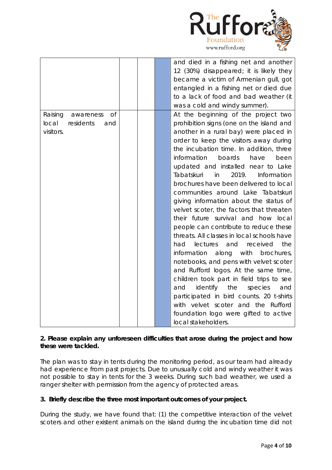

|                                   |  | and died in a fishing net and another<br>12 (30%) disappeared; it is likely they |
|-----------------------------------|--|----------------------------------------------------------------------------------|
|                                   |  | became a victim of Armenian gull, got                                            |
|                                   |  | entangled in a fishing net or died due                                           |
|                                   |  | to a lack of food and bad weather (it                                            |
|                                   |  | was a cold and windy summer).                                                    |
| <b>of</b><br>Raising<br>awareness |  | At the beginning of the project two                                              |
| local<br>residents<br>and         |  | prohibition signs (one on the island and                                         |
| visitors.                         |  | another in a rural bay) were placed in                                           |
|                                   |  | order to keep the visitors away during                                           |
|                                   |  | the incubation time. In addition, three                                          |
|                                   |  | information<br>boards<br>have<br>been                                            |
|                                   |  | updated and installed near to Lake                                               |
|                                   |  | 2019.<br>Tabatskuri<br>Information<br>in                                         |
|                                   |  | brochures have been delivered to local                                           |
|                                   |  | communities around Lake Tabatskuri                                               |
|                                   |  | giving information about the status of                                           |
|                                   |  | velvet scoter, the factors that threaten                                         |
|                                   |  | their future survival and how local                                              |
|                                   |  | people can contribute to reduce these                                            |
|                                   |  | threats. All classes in local schools have                                       |
|                                   |  | and<br>had<br>lectures<br>received<br>the                                        |
|                                   |  | information<br>along<br>with<br>brochures,                                       |
|                                   |  | notebooks, and pens with velvet scoter                                           |
|                                   |  | and Rufford logos. At the same time,                                             |
|                                   |  | children took part in field trips to see                                         |
|                                   |  | identify the<br>species<br>and<br>and                                            |
|                                   |  | participated in bird counts. 20 t-shirts                                         |
|                                   |  | with velvet scoter and the Rufford                                               |
|                                   |  | foundation logo were gifted to active                                            |
|                                   |  | local stakeholders.                                                              |

## **2. Please explain any unforeseen difficulties that arose during the project and how these were tackled.**

The plan was to stay in tents during the monitoring period, as our team had already had experience from past projects. Due to unusually cold and windy weather it was not possible to stay in tents for the 3 weeks. During such bad weather, we used a ranger shelter with permission from the agency of protected areas.

# **3. Briefly describe the three most important outcomes of your project.**

During the study, we have found that: (1) the competitive interaction of the velvet scoters and other existent animals on the island during the incubation time did not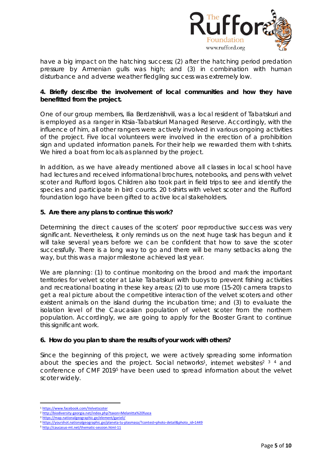

have a big impact on the hatching success; (2) after the hatching period predation pressure by Armenian gulls was high; and (3) in combination with human disturbance and adverse weather fledgling success was extremely low.

## **4. Briefly describe the involvement of local communities and how they have benefitted from the project.**

One of our group members, Ilia Berdzenishvili, was a local resident of Tabatskuri and is employed as a ranger in Ktsia-Tabatskuri Managed Reserve. Accordingly, with the influence of him, all other rangers were actively involved in various ongoing activities of the project. Five local volunteers were involved in the erection of a prohibition sign and updated information panels. For their help we rewarded them with t-shirts. We hired a boat from locals as planned by the project.

In addition, as we have already mentioned above all classes in local school have had lectures and received informational brochures, notebooks, and pens with velvet scoter and Rufford logos. Children also took part in field trips to see and identify the species and participate in bird counts. 20 t-shirts with velvet scoter and the Rufford foundation logo have been gifted to active local stakeholders.

## **5. Are there any plans to continue this work?**

Determining the direct causes of the scoters' poor reproductive success was very significant. Nevertheless, it only reminds us on the next huge task has begun and it will take several years before we can be confident that how to save the scoter successfully. There is a long way to go and there will be many setbacks along the way, but this was a major milestone achieved last year.

We are planning: (1) to continue monitoring on the brood and mark the important territories for velvet scoter at Lake Tabatskuri with buoys to prevent fishing activities and recreational boating in these key areas; (2) to use more (15-20) camera traps to get a real picture about the competitive interaction of the velvet scoters and other existent animals on the island during the incubation time; and (3) to evaluate the isolation level of the Caucasian population of velvet scoter from the northern population. Accordingly, we are going to apply for the Booster Grant to continue this significant work.

## **6. How do you plan to share the results of your work with others?**

Since the beginning of this project, we were actively spreading some information about the species and the project. Social networks<sup>[1](#page-4-0)</sup>, internet websites<sup>[2](#page-4-1) [3](#page-4-2)</sup> [4](#page-4-3) and conference of CMF 2019[5](#page-4-4) have been used to spread information about the velvet scoter widely.

<span id="page-4-0"></span><sup>1</sup> <https://www.facebook.com/Velvetscoter>

<span id="page-4-1"></span><sup>2</sup> <http://biodiversity-georgia.net/index.php?taxon=Melanitta%20fusca>

<span id="page-4-2"></span><sup>3</sup> <https://map.nationalgeographic.ge/element/garieli/>

<span id="page-4-3"></span><sup>4</sup> [https://yourshot.nationalgeographic.ge/planeta-tu-plasmasa/?contest=photo-detail&photo\\_id=1449](https://yourshot.nationalgeographic.ge/planeta-tu-plasmasa/?contest=photo-detail&photo_id=1449)

<span id="page-4-4"></span><sup>5</sup> <http://caucasus-mt.net/thematic-session.html-11>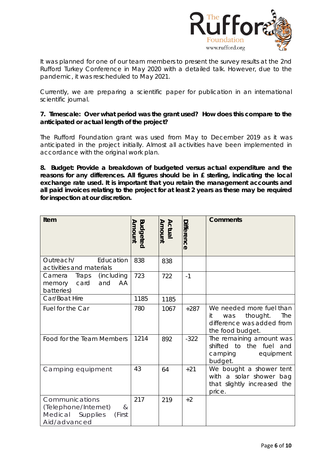

It was planned for one of our team members to present the survey results at the 2nd Rufford Turkey Conference in May 2020 with a detailed talk. However, due to the pandemic, it was rescheduled to May 2021.

Currently, we are preparing a scientific paper for publication in an international scientific journal.

## **7. Timescale: Over what period was the grant used? How does this compare to the anticipated or actual length of the project?**

The Rufford Foundation grant was used from May to December 2019 as it was anticipated in the project initially. Almost all activities have been implemented in accordance with the original work plan.

**8. Budget: Provide a breakdown of budgeted versus actual expenditure and the reasons for any differences. All figures should be in £ sterling, indicating the local exchange rate used. It is important that you retain the management accounts and all paid invoices relating to the project for at least 2 years as these may be required for inspection at our discretion.**

| Item                                                                                                   | <b>Budgeted</b><br>Amount | <b>Amount</b><br>Actual | Difference | <b>Comments</b>                                                                                           |
|--------------------------------------------------------------------------------------------------------|---------------------------|-------------------------|------------|-----------------------------------------------------------------------------------------------------------|
| Outreach/<br>Education<br>activities and materials                                                     | 838                       | 838                     |            |                                                                                                           |
| (including<br>Camera<br>Traps<br>card<br>AA<br>and<br>memory<br>batteries)                             | 723                       | 722                     | $-1$       |                                                                                                           |
| Car/Boat Hire                                                                                          | 1185                      | 1185                    |            |                                                                                                           |
| Fuel for the Car                                                                                       | 780                       | 1067                    | $+287$     | We needed more fuel than<br>thought.<br>The<br>it<br>was<br>difference was added from<br>the food budget. |
| Food for the Team Members                                                                              | 1214                      | 892                     | $-322$     | The remaining amount was<br>shifted to the fuel and<br>camping<br>equipment<br>budget.                    |
| Camping equipment                                                                                      | 43                        | 64                      | $+21$      | We bought a shower tent<br>with a solar shower bag<br>that slightly increased the<br>price.               |
| Communications<br>(Telephone/Internet)<br>8 <sub>l</sub><br>Medical Supplies<br>(First<br>Aid/advanced | 217                       | 219                     | $+2$       |                                                                                                           |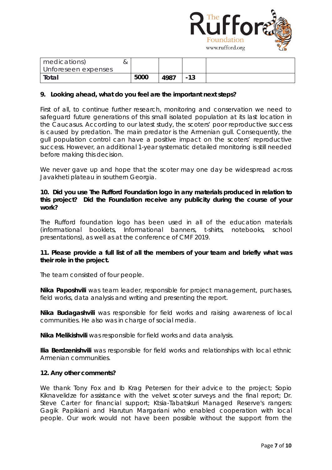

| medications)<br>Unforeseen expenses |      |      |       |  |
|-------------------------------------|------|------|-------|--|
| Total                               | 5000 | 4987 | $-13$ |  |

## **9. Looking ahead, what do you feel are the important next steps?**

First of all, to continue further research, monitoring and conservation we need to safeguard future generations of this small isolated population at its last location in the Caucasus. According to our latest study, the scoters' poor reproductive success is caused by predation. The main predator is the Armenian gull. Consequently, the gull population control can have a positive impact on the scoters' reproductive success. However, an additional 1-year systematic detailed monitoring is still needed before making this decision.

We never gave up and hope that the scoter may one day be widespread across Javakheti plateau in southern Georgia.

## **10. Did you use The Rufford Foundation logo in any materials produced in relation to this project? Did the Foundation receive any publicity during the course of your work?**

The Rufford foundation logo has been used in all of the education materials (informational booklets, Informational banners, t-shirts, notebooks, school presentations), as well as at the conference of CMF 2019.

## **11. Please provide a full list of all the members of your team and briefly what was their role in the project.**

The team consisted of four people.

**Nika Paposhvili** was team leader, responsible for project management, purchases, field works, data analysis and writing and presenting the report.

**Nika Budagashvili** was responsible for field works and raising awareness of local communities. He also was in charge of social media.

**Nika Melikishvili** was responsible for field works and data analysis.

**Ilia Berdzenishvili** was responsible for field works and relationships with local ethnic Armenian communities.

## **12. Any other comments?**

We thank Tony Fox and Ib Krag Petersen for their advice to the project; Sopio Kiknavelidze for assistance with the velvet scoter surveys and the final report; Dr. Steve Carter for financial support; Ktsia-Tabatskuri Managed Reserve's rangers: Gagik Papikiani and Harutun Margariani who enabled cooperation with local people. Our work would not have been possible without the support from the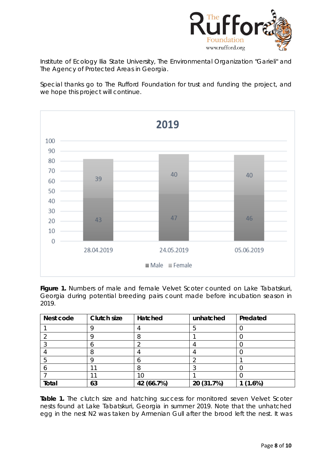

Institute of Ecology Ilia State University, The Environmental Organization "Garieli" and The Agency of Protected Areas in Georgia.

Special thanks go to The Rufford Foundation for trust and funding the project, and we hope this project will continue.



Figure 1. Numbers of male and female Velvet Scoter counted on Lake Tabatskuri, Georgia during potential breeding pairs count made before incubation season in 2019.

| Nest code | <b>Clutch size</b> | Hatched    | unhatched  | Predated |
|-----------|--------------------|------------|------------|----------|
|           |                    |            |            |          |
|           |                    |            |            |          |
|           |                    |            |            |          |
|           |                    |            |            |          |
|           |                    |            |            |          |
|           |                    |            |            |          |
|           |                    | 10         |            |          |
| Total     | 63                 | 42 (66.7%) | 20 (31.7%) | 1(1.6%)  |

Table 1. The clutch size and hatching success for monitored seven Velvet Scoter nests found at Lake Tabatskuri, Georgia in summer 2019. Note that the unhatched egg in the nest N2 was taken by Armenian Gull after the brood left the nest. It was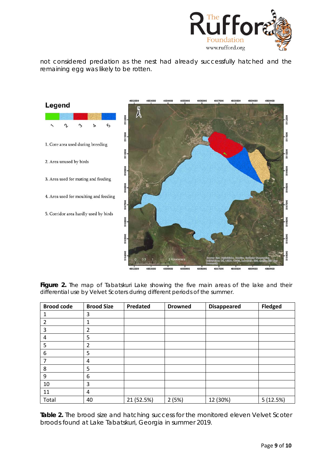

not considered predation as the nest had already successfully hatched and the remaining egg was likely to be rotten.



Figure 2. The map of Tabatskuri Lake showing the five main areas of the lake and their differential use by Velvet Scoters during different periods of the summer.

| <b>Brood code</b> | <b>Brood Size</b> | Predated   | <b>Drowned</b> | <b>Disappeared</b> | <b>Fledged</b> |
|-------------------|-------------------|------------|----------------|--------------------|----------------|
|                   | 3                 |            |                |                    |                |
| 2                 | 1                 |            |                |                    |                |
| 3                 | $\overline{2}$    |            |                |                    |                |
| 4                 | 5                 |            |                |                    |                |
| 5                 | 2                 |            |                |                    |                |
| 6                 | 5                 |            |                |                    |                |
| 7                 | 4                 |            |                |                    |                |
| 8                 | 5                 |            |                |                    |                |
| 9                 | 6                 |            |                |                    |                |
| 10                | 3                 |            |                |                    |                |
| 11                | 4                 |            |                |                    |                |
| Total             | 40                | 21 (52.5%) | 2(5%)          | 12 (30%)           | 5(12.5%)       |

**Table 2.** The brood size and hatching success for the monitored eleven Velvet Scoter broods found at Lake Tabatskuri, Georgia in summer 2019.